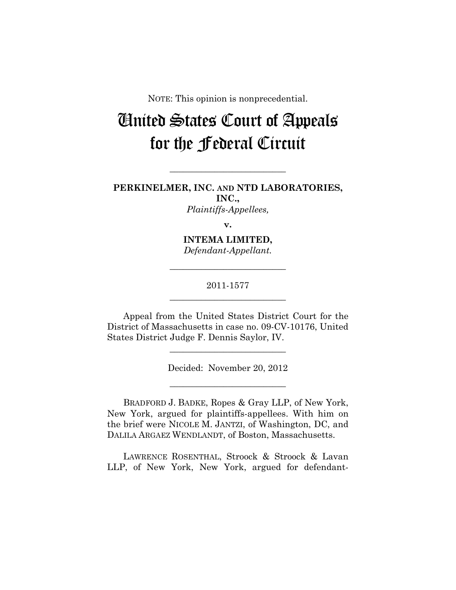NOTE: This opinion is nonprecedential.

# United States Court of Appeals for the Federal Circuit

**PERKINELMER, INC. AND NTD LABORATORIES, INC.,** 

**\_\_\_\_\_\_\_\_\_\_\_\_\_\_\_\_\_\_\_\_\_\_\_\_\_\_** 

*Plaintiffs-Appellees,* 

**v.** 

**INTEMA LIMITED,**  *Defendant-Appellant.* 

2011-1577 **\_\_\_\_\_\_\_\_\_\_\_\_\_\_\_\_\_\_\_\_\_\_\_\_\_\_** 

**\_\_\_\_\_\_\_\_\_\_\_\_\_\_\_\_\_\_\_\_\_\_\_\_\_\_** 

Appeal from the United States District Court for the District of Massachusetts in case no. 09-CV-10176, United States District Judge F. Dennis Saylor, IV.

**\_\_\_\_\_\_\_\_\_\_\_\_\_\_\_\_\_\_\_\_\_\_\_\_\_\_** 

Decided: November 20, 2012

**\_\_\_\_\_\_\_\_\_\_\_\_\_\_\_\_\_\_\_\_\_\_\_\_\_\_** 

BRADFORD J. BADKE, Ropes & Gray LLP, of New York, New York, argued for plaintiffs-appellees. With him on the brief were NICOLE M. JANTZI, of Washington, DC, and DALILA ARGAEZ WENDLANDT, of Boston, Massachusetts.

LAWRENCE ROSENTHAL, Stroock & Stroock & Lavan LLP, of New York, New York, argued for defendant-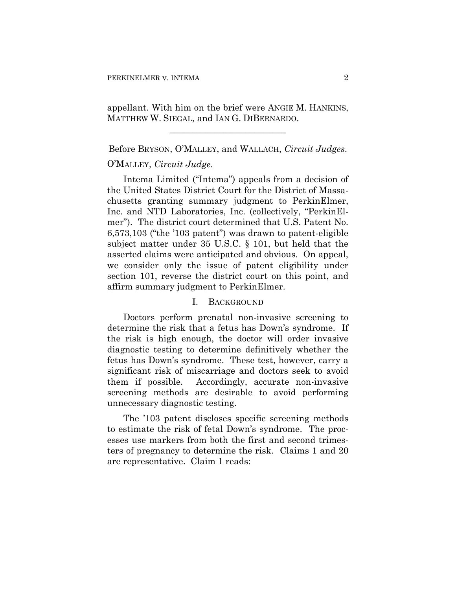## appellant. With him on the brief were ANGIE M. HANKINS, MATTHEW W. SIEGAL, and IAN G. DIBERNARDO.

**\_\_\_\_\_\_\_\_\_\_\_\_\_\_\_\_\_\_\_\_\_\_\_\_\_\_** 

### Before BRYSON, O'MALLEY, and WALLACH, *Circuit Judges*.

#### O'MALLEY, *Circuit Judge*.

Intema Limited ("Intema") appeals from a decision of the United States District Court for the District of Massachusetts granting summary judgment to PerkinElmer, Inc. and NTD Laboratories, Inc. (collectively, "PerkinElmer"). The district court determined that U.S. Patent No. 6,573,103 ("the '103 patent") was drawn to patent-eligible subject matter under 35 U.S.C. § 101, but held that the asserted claims were anticipated and obvious. On appeal, we consider only the issue of patent eligibility under section 101, reverse the district court on this point, and affirm summary judgment to PerkinElmer.

#### I. BACKGROUND

Doctors perform prenatal non-invasive screening to determine the risk that a fetus has Down's syndrome. If the risk is high enough, the doctor will order invasive diagnostic testing to determine definitively whether the fetus has Down's syndrome. These test, however, carry a significant risk of miscarriage and doctors seek to avoid them if possible. Accordingly, accurate non-invasive screening methods are desirable to avoid performing unnecessary diagnostic testing.

The '103 patent discloses specific screening methods to estimate the risk of fetal Down's syndrome. The processes use markers from both the first and second trimesters of pregnancy to determine the risk. Claims 1 and 20 are representative. Claim 1 reads: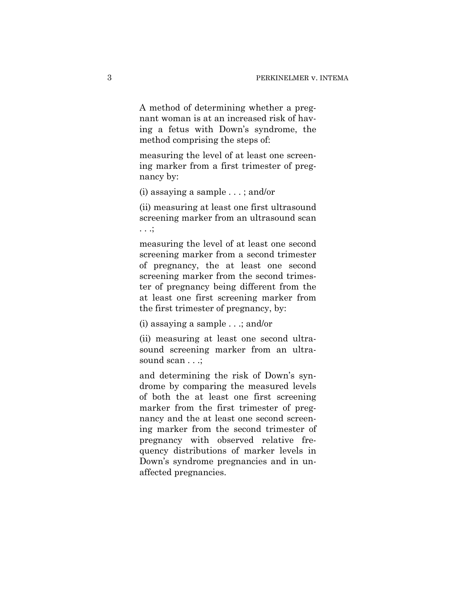A method of determining whether a pregnant woman is at an increased risk of having a fetus with Down's syndrome, the method comprising the steps of:

measuring the level of at least one screening marker from a first trimester of pregnancy by:

(i) assaying a sample . . . ; and/or

(ii) measuring at least one first ultrasound screening marker from an ultrasound scan . . .;

measuring the level of at least one second screening marker from a second trimester of pregnancy, the at least one second screening marker from the second trimester of pregnancy being different from the at least one first screening marker from the first trimester of pregnancy, by:

(i) assaying a sample . . .; and/or

(ii) measuring at least one second ultrasound screening marker from an ultrasound scan . . .;

and determining the risk of Down's syndrome by comparing the measured levels of both the at least one first screening marker from the first trimester of pregnancy and the at least one second screening marker from the second trimester of pregnancy with observed relative frequency distributions of marker levels in Down's syndrome pregnancies and in unaffected pregnancies.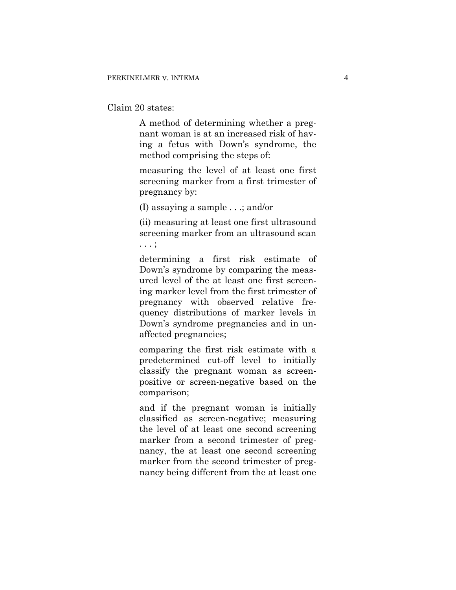Claim 20 states:

A method of determining whether a pregnant woman is at an increased risk of having a fetus with Down's syndrome, the method comprising the steps of:

measuring the level of at least one first screening marker from a first trimester of pregnancy by:

(I) assaying a sample . . .; and/or

(ii) measuring at least one first ultrasound screening marker from an ultrasound scan . . . ;

determining a first risk estimate of Down's syndrome by comparing the measured level of the at least one first screening marker level from the first trimester of pregnancy with observed relative frequency distributions of marker levels in Down's syndrome pregnancies and in unaffected pregnancies;

comparing the first risk estimate with a predetermined cut-off level to initially classify the pregnant woman as screenpositive or screen-negative based on the comparison;

and if the pregnant woman is initially classified as screen-negative; measuring the level of at least one second screening marker from a second trimester of pregnancy, the at least one second screening marker from the second trimester of pregnancy being different from the at least one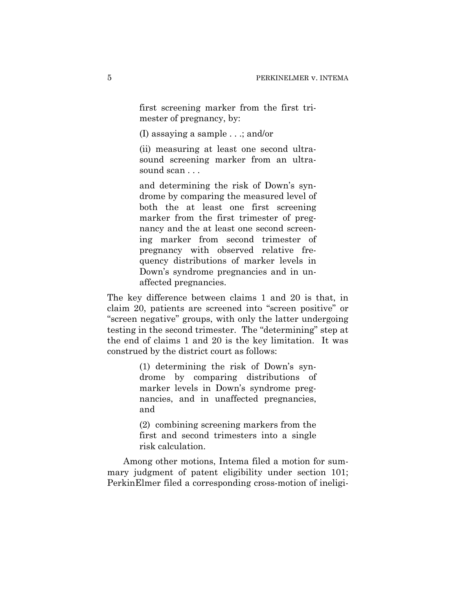first screening marker from the first trimester of pregnancy, by:

(I) assaying a sample . . .; and/or

(ii) measuring at least one second ultrasound screening marker from an ultrasound scan . . .

and determining the risk of Down's syndrome by comparing the measured level of both the at least one first screening marker from the first trimester of pregnancy and the at least one second screening marker from second trimester of pregnancy with observed relative frequency distributions of marker levels in Down's syndrome pregnancies and in unaffected pregnancies.

The key difference between claims 1 and 20 is that, in claim 20, patients are screened into "screen positive" or "screen negative" groups, with only the latter undergoing testing in the second trimester. The "determining" step at the end of claims 1 and 20 is the key limitation. It was construed by the district court as follows:

> (1) determining the risk of Down's syndrome by comparing distributions of marker levels in Down's syndrome pregnancies, and in unaffected pregnancies, and

> (2) combining screening markers from the first and second trimesters into a single risk calculation.

Among other motions, Intema filed a motion for summary judgment of patent eligibility under section 101; PerkinElmer filed a corresponding cross-motion of ineligi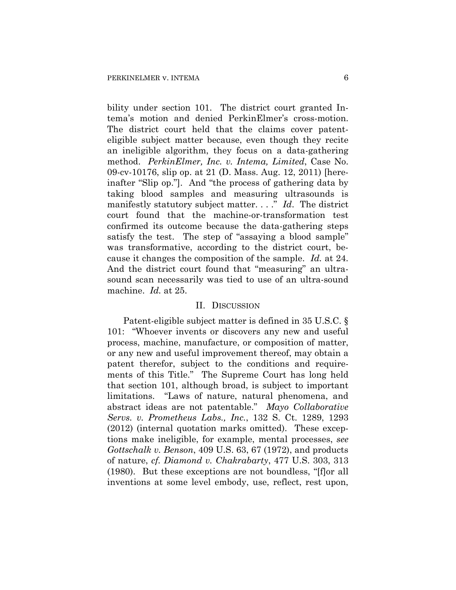bility under section 101. The district court granted Intema's motion and denied PerkinElmer's cross-motion. The district court held that the claims cover patenteligible subject matter because, even though they recite an ineligible algorithm, they focus on a data-gathering method. *PerkinElmer, Inc. v. Intema, Limited*, Case No. 09-cv-10176, slip op. at 21 (D. Mass. Aug. 12, 2011) [hereinafter "Slip op."]. And "the process of gathering data by taking blood samples and measuring ultrasounds is manifestly statutory subject matter. . . ." *Id*. The district court found that the machine-or-transformation test confirmed its outcome because the data-gathering steps satisfy the test. The step of "assaying a blood sample" was transformative, according to the district court, because it changes the composition of the sample. *Id.* at 24. And the district court found that "measuring" an ultrasound scan necessarily was tied to use of an ultra-sound machine. *Id.* at 25.

#### II. DISCUSSION

Patent-eligible subject matter is defined in 35 U.S.C. § 101: "Whoever invents or discovers any new and useful process, machine, manufacture, or composition of matter, or any new and useful improvement thereof, may obtain a patent therefor, subject to the conditions and requirements of this Title." The Supreme Court has long held that section 101, although broad, is subject to important limitations. "Laws of nature, natural phenomena, and abstract ideas are not patentable." *Mayo Collaborative Servs. v. Prometheus Labs., Inc.*, 132 S. Ct. 1289, 1293 (2012) (internal quotation marks omitted). These exceptions make ineligible, for example, mental processes, *see Gottschalk v. Benson*, 409 U.S. 63, 67 (1972), and products of nature, *cf. Diamond v. Chakrabarty*, 477 U.S. 303, 313 (1980). But these exceptions are not boundless, "[f]or all inventions at some level embody, use, reflect, rest upon,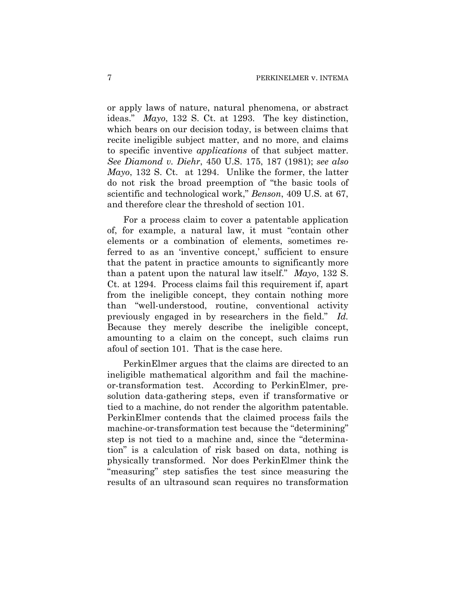or apply laws of nature, natural phenomena, or abstract ideas." *Mayo*, 132 S. Ct. at 1293. The key distinction, which bears on our decision today, is between claims that recite ineligible subject matter, and no more, and claims to specific inventive *applications* of that subject matter. *See Diamond v. Diehr*, 450 U.S. 175, 187 (1981); *see also Mayo*, 132 S. Ct. at 1294. Unlike the former, the latter do not risk the broad preemption of "the basic tools of scientific and technological work," *Benson*, 409 U.S. at 67, and therefore clear the threshold of section 101.

For a process claim to cover a patentable application of, for example, a natural law, it must "contain other elements or a combination of elements, sometimes referred to as an 'inventive concept,' sufficient to ensure that the patent in practice amounts to significantly more than a patent upon the natural law itself." *Mayo*, 132 S. Ct. at 1294. Process claims fail this requirement if, apart from the ineligible concept, they contain nothing more than "well-understood, routine, conventional activity previously engaged in by researchers in the field." *Id.* Because they merely describe the ineligible concept, amounting to a claim on the concept, such claims run afoul of section 101. That is the case here.

PerkinElmer argues that the claims are directed to an ineligible mathematical algorithm and fail the machineor-transformation test. According to PerkinElmer, presolution data-gathering steps, even if transformative or tied to a machine, do not render the algorithm patentable. PerkinElmer contends that the claimed process fails the machine-or-transformation test because the "determining" step is not tied to a machine and, since the "determination" is a calculation of risk based on data, nothing is physically transformed. Nor does PerkinElmer think the "measuring" step satisfies the test since measuring the results of an ultrasound scan requires no transformation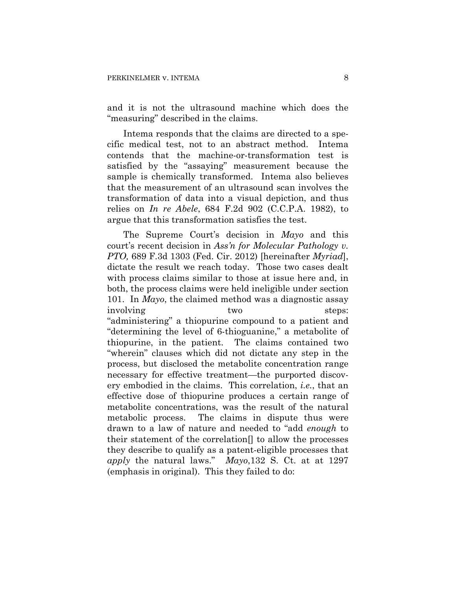and it is not the ultrasound machine which does the "measuring" described in the claims.

Intema responds that the claims are directed to a specific medical test, not to an abstract method. Intema contends that the machine-or-transformation test is satisfied by the "assaying" measurement because the sample is chemically transformed. Intema also believes that the measurement of an ultrasound scan involves the transformation of data into a visual depiction, and thus relies on *In re Abele*, 684 F.2d 902 (C.C.P.A. 1982), to argue that this transformation satisfies the test.

The Supreme Court's decision in *Mayo* and this court's recent decision in *Ass'n for Molecular Pathology v. PTO,* 689 F.3d 1303 (Fed. Cir. 2012) [hereinafter *Myriad*], dictate the result we reach today. Those two cases dealt with process claims similar to those at issue here and, in both, the process claims were held ineligible under section 101. In *Mayo*, the claimed method was a diagnostic assay involving two two steps: "administering" a thiopurine compound to a patient and "determining the level of 6-thioguanine," a metabolite of thiopurine, in the patient. The claims contained two "wherein" clauses which did not dictate any step in the process, but disclosed the metabolite concentration range necessary for effective treatment—the purported discovery embodied in the claims. This correlation, *i.e.*, that an effective dose of thiopurine produces a certain range of metabolite concentrations, was the result of the natural metabolic process. The claims in dispute thus were drawn to a law of nature and needed to "add *enough* to their statement of the correlation[] to allow the processes they describe to qualify as a patent-eligible processes that *apply* the natural laws." *Mayo*,132 S. Ct. at at 1297 (emphasis in original). This they failed to do: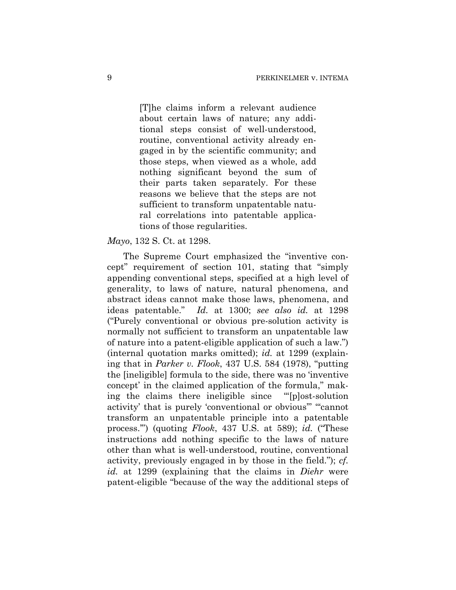[T]he claims inform a relevant audience about certain laws of nature; any additional steps consist of well-understood, routine, conventional activity already engaged in by the scientific community; and those steps, when viewed as a whole, add nothing significant beyond the sum of their parts taken separately. For these reasons we believe that the steps are not sufficient to transform unpatentable natural correlations into patentable applications of those regularities.

#### *Mayo*, 132 S. Ct. at 1298.

The Supreme Court emphasized the "inventive concept" requirement of section 101, stating that "simply appending conventional steps, specified at a high level of generality, to laws of nature, natural phenomena, and abstract ideas cannot make those laws, phenomena, and ideas patentable." *Id.* at 1300; *see also id.* at 1298 ("Purely conventional or obvious pre-solution activity is normally not sufficient to transform an unpatentable law of nature into a patent-eligible application of such a law.") (internal quotation marks omitted); *id.* at 1299 (explaining that in *Parker v. Flook*, 437 U.S. 584 (1978), "putting the [ineligible] formula to the side, there was no 'inventive concept' in the claimed application of the formula," making the claims there ineligible since "'[p]ost-solution activity' that is purely 'conventional or obvious'" "'cannot transform an unpatentable principle into a patentable process.'") (quoting *Flook*, 437 U.S. at 589); *id.* ("These instructions add nothing specific to the laws of nature other than what is well-understood, routine, conventional activity, previously engaged in by those in the field."); *cf. id.* at 1299 (explaining that the claims in *Diehr* were patent-eligible "because of the way the additional steps of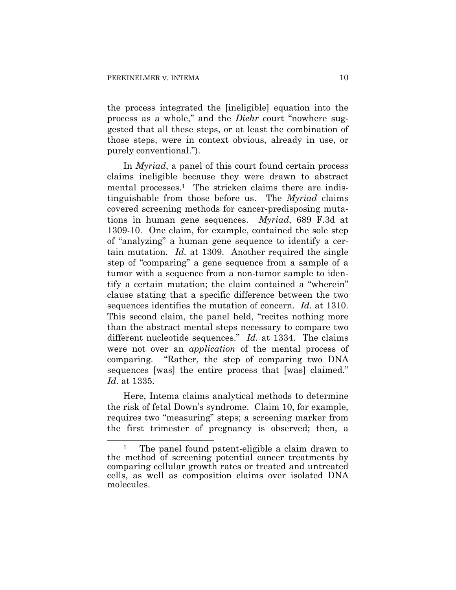$\overline{a}$ 

the process integrated the [ineligible] equation into the process as a whole," and the *Diehr* court "nowhere suggested that all these steps, or at least the combination of those steps, were in context obvious, already in use, or purely conventional.").

In *Myriad*, a panel of this court found certain process claims ineligible because they were drawn to abstract mental processes.<sup>1</sup> The stricken claims there are indistinguishable from those before us. The *Myriad* claims covered screening methods for cancer-predisposing mutations in human gene sequences. *Myriad*, 689 F.3d at 1309-10. One claim, for example, contained the sole step of "analyzing" a human gene sequence to identify a certain mutation. *Id.* at 1309. Another required the single step of "comparing" a gene sequence from a sample of a tumor with a sequence from a non-tumor sample to identify a certain mutation; the claim contained a "wherein" clause stating that a specific difference between the two sequences identifies the mutation of concern. *Id.* at 1310. This second claim, the panel held, "recites nothing more than the abstract mental steps necessary to compare two different nucleotide sequences." *Id.* at 1334. The claims were not over an *application* of the mental process of comparing. "Rather, the step of comparing two DNA sequences [was] the entire process that [was] claimed." *Id.* at 1335.

Here, Intema claims analytical methods to determine the risk of fetal Down's syndrome. Claim 10, for example, requires two "measuring" steps; a screening marker from the first trimester of pregnancy is observed; then, a

<sup>&</sup>lt;sup>1</sup> The panel found patent-eligible a claim drawn to the method of screening potential cancer treatments by comparing cellular growth rates or treated and untreated cells, as well as composition claims over isolated DNA molecules.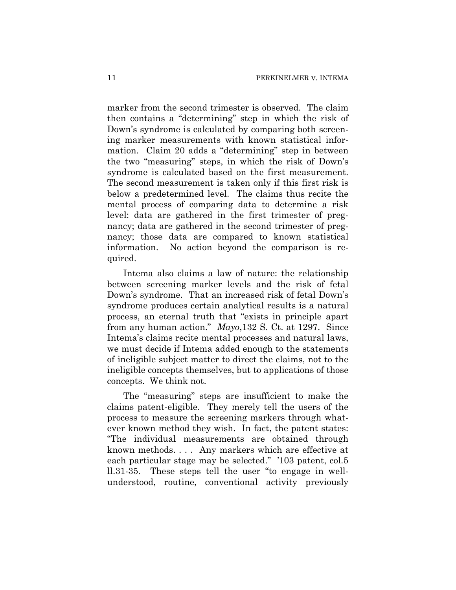marker from the second trimester is observed. The claim then contains a "determining" step in which the risk of Down's syndrome is calculated by comparing both screening marker measurements with known statistical information. Claim 20 adds a "determining" step in between the two "measuring" steps, in which the risk of Down's syndrome is calculated based on the first measurement. The second measurement is taken only if this first risk is below a predetermined level. The claims thus recite the mental process of comparing data to determine a risk level: data are gathered in the first trimester of pregnancy; data are gathered in the second trimester of pregnancy; those data are compared to known statistical information. No action beyond the comparison is required.

Intema also claims a law of nature: the relationship between screening marker levels and the risk of fetal Down's syndrome. That an increased risk of fetal Down's syndrome produces certain analytical results is a natural process, an eternal truth that "exists in principle apart from any human action." *Mayo*,132 S. Ct. at 1297. Since Intema's claims recite mental processes and natural laws, we must decide if Intema added enough to the statements of ineligible subject matter to direct the claims, not to the ineligible concepts themselves, but to applications of those concepts. We think not.

The "measuring" steps are insufficient to make the claims patent-eligible. They merely tell the users of the process to measure the screening markers through whatever known method they wish. In fact, the patent states: "The individual measurements are obtained through known methods. . . . Any markers which are effective at each particular stage may be selected." '103 patent, col.5 ll.31-35. These steps tell the user "to engage in wellunderstood, routine, conventional activity previously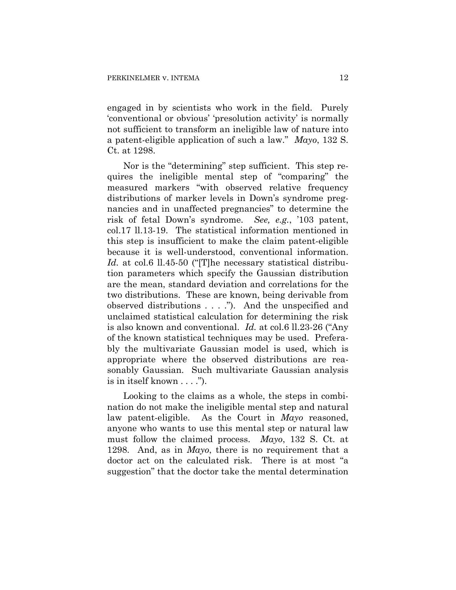engaged in by scientists who work in the field. Purely 'conventional or obvious' 'presolution activity' is normally not sufficient to transform an ineligible law of nature into a patent-eligible application of such a law." *Mayo*, 132 S. Ct. at 1298.

Nor is the "determining" step sufficient. This step requires the ineligible mental step of "comparing" the measured markers "with observed relative frequency distributions of marker levels in Down's syndrome pregnancies and in unaffected pregnancies" to determine the risk of fetal Down's syndrome. *See, e.g.*, '103 patent, col.17 ll.13-19. The statistical information mentioned in this step is insufficient to make the claim patent-eligible because it is well-understood, conventional information. Id. at col.6 ll.45-50 ("The necessary statistical distribution parameters which specify the Gaussian distribution are the mean, standard deviation and correlations for the two distributions. These are known, being derivable from observed distributions . . . ."). And the unspecified and unclaimed statistical calculation for determining the risk is also known and conventional. *Id.* at col.6 ll.23-26 ("Any of the known statistical techniques may be used. Preferably the multivariate Gaussian model is used, which is appropriate where the observed distributions are reasonably Gaussian. Such multivariate Gaussian analysis is in itself known . . . .").

Looking to the claims as a whole, the steps in combination do not make the ineligible mental step and natural law patent-eligible. As the Court in *Mayo* reasoned, anyone who wants to use this mental step or natural law must follow the claimed process. *Mayo*, 132 S. Ct. at 1298. And, as in *Mayo*, there is no requirement that a doctor act on the calculated risk. There is at most "a suggestion" that the doctor take the mental determination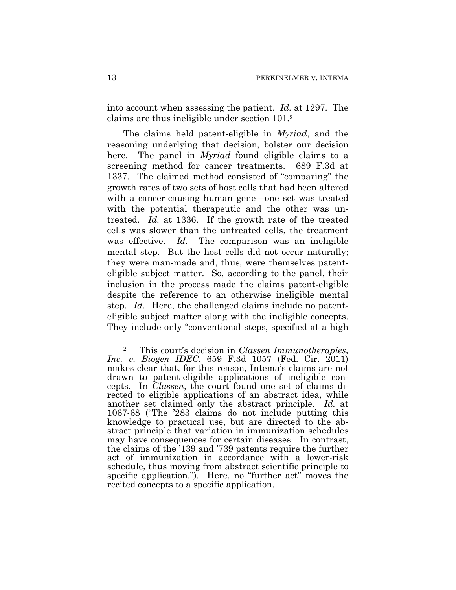into account when assessing the patient. *Id.* at 1297. The claims are thus ineligible under section 101.2

The claims held patent-eligible in *Myriad*, and the reasoning underlying that decision, bolster our decision here. The panel in *Myriad* found eligible claims to a screening method for cancer treatments. 689 F.3d at 1337. The claimed method consisted of "comparing" the growth rates of two sets of host cells that had been altered with a cancer-causing human gene—one set was treated with the potential therapeutic and the other was untreated. *Id.* at 1336. If the growth rate of the treated cells was slower than the untreated cells, the treatment was effective. *Id.* The comparison was an ineligible mental step. But the host cells did not occur naturally; they were man-made and, thus, were themselves patenteligible subject matter. So, according to the panel, their inclusion in the process made the claims patent-eligible despite the reference to an otherwise ineligible mental step. *Id.* Here, the challenged claims include no patenteligible subject matter along with the ineligible concepts. They include only "conventional steps, specified at a high

 $\overline{a}$ 

<sup>2</sup> This court's decision in *Classen Immunotherapies, Inc. v. Biogen IDEC*, 659 F.3d 1057 (Fed. Cir. 2011) makes clear that, for this reason, Intema's claims are not drawn to patent-eligible applications of ineligible concepts. In *Classen*, the court found one set of claims directed to eligible applications of an abstract idea, while another set claimed only the abstract principle. *Id.* at 1067-68 ("The '283 claims do not include putting this knowledge to practical use, but are directed to the abstract principle that variation in immunization schedules may have consequences for certain diseases. In contrast, the claims of the '139 and '739 patents require the further act of immunization in accordance with a lower-risk schedule, thus moving from abstract scientific principle to specific application."). Here, no "further act" moves the recited concepts to a specific application.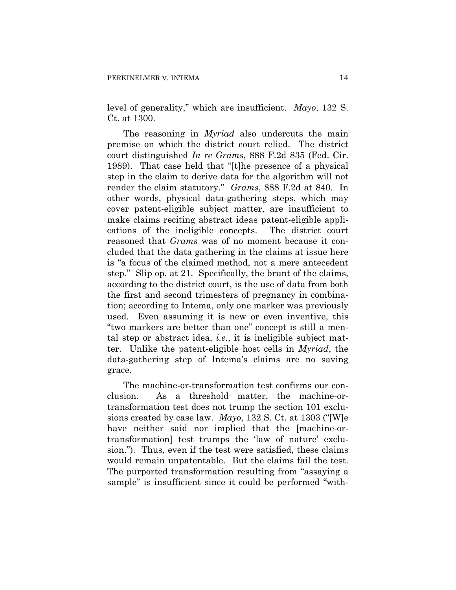level of generality," which are insufficient. *Mayo*, 132 S. Ct. at 1300.

The reasoning in *Myriad* also undercuts the main premise on which the district court relied. The district court distinguished *In re Grams*, 888 F.2d 835 (Fed. Cir. 1989). That case held that "[t]he presence of a physical step in the claim to derive data for the algorithm will not render the claim statutory." *Grams*, 888 F.2d at 840. In other words, physical data-gathering steps, which may cover patent-eligible subject matter, are insufficient to make claims reciting abstract ideas patent-eligible applications of the ineligible concepts. The district court reasoned that *Grams* was of no moment because it concluded that the data gathering in the claims at issue here is "a focus of the claimed method, not a mere antecedent step." Slip op. at 21. Specifically, the brunt of the claims, according to the district court, is the use of data from both the first and second trimesters of pregnancy in combination; according to Intema, only one marker was previously used. Even assuming it is new or even inventive, this "two markers are better than one" concept is still a mental step or abstract idea, *i.e.*, it is ineligible subject matter. Unlike the patent-eligible host cells in *Myriad*, the data-gathering step of Intema's claims are no saving grace.

The machine-or-transformation test confirms our conclusion. As a threshold matter, the machine-ortransformation test does not trump the section 101 exclusions created by case law. *Mayo*, 132 S. Ct. at 1303 ("[W]e have neither said nor implied that the [machine-ortransformation] test trumps the 'law of nature' exclusion."). Thus, even if the test were satisfied, these claims would remain unpatentable. But the claims fail the test. The purported transformation resulting from "assaying a sample" is insufficient since it could be performed "with-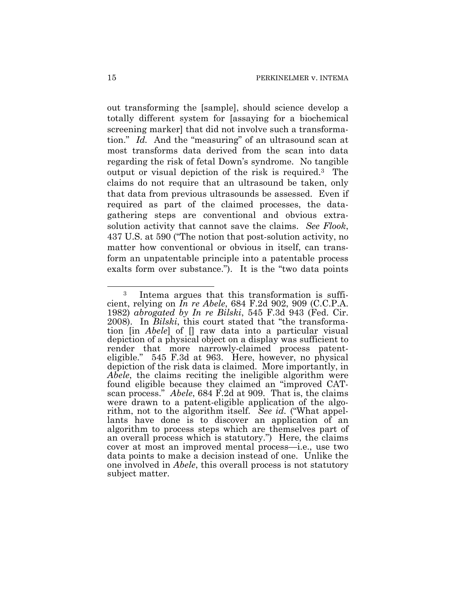out transforming the [sample], should science develop a totally different system for [assaying for a biochemical screening marker] that did not involve such a transformation." *Id.* And the "measuring" of an ultrasound scan at most transforms data derived from the scan into data regarding the risk of fetal Down's syndrome. No tangible output or visual depiction of the risk is required.3 The claims do not require that an ultrasound be taken, only that data from previous ultrasounds be assessed. Even if required as part of the claimed processes, the datagathering steps are conventional and obvious extrasolution activity that cannot save the claims. *See Flook*, 437 U.S. at 590 ("The notion that post-solution activity, no matter how conventional or obvious in itself, can transform an unpatentable principle into a patentable process exalts form over substance."). It is the "two data points

 $\overline{a}$ 

<sup>3</sup> Intema argues that this transformation is sufficient, relying on *In re Abele*, 684 F.2d 902, 909 (C.C.P.A. 1982) *abrogated by In re Bilski*, 545 F.3d 943 (Fed. Cir. 2008). In *Bilski*, this court stated that "the transformation [in *Abele*] of [] raw data into a particular visual depiction of a physical object on a display was sufficient to render that more narrowly-claimed process patenteligible." 545 F.3d at 963. Here, however, no physical depiction of the risk data is claimed. More importantly, in *Abele*, the claims reciting the ineligible algorithm were found eligible because they claimed an "improved CATscan process." *Abele*, 684 F.2d at 909. That is, the claims were drawn to a patent-eligible application of the algorithm, not to the algorithm itself. *See id.* ("What appellants have done is to discover an application of an algorithm to process steps which are themselves part of an overall process which is statutory.") Here, the claims cover at most an improved mental process—i.e., use two data points to make a decision instead of one. Unlike the one involved in *Abele*, this overall process is not statutory subject matter.